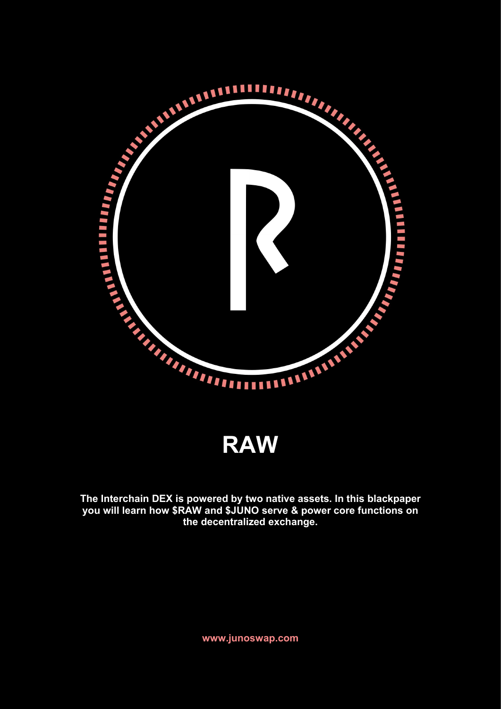

**RAW**

**The Interchain DEX is powered by two native assets. In this blackpaper you will learn how \$RAW and \$JUNO serve & power core functions on the decentralized exchange.**

**www.junoswap.com**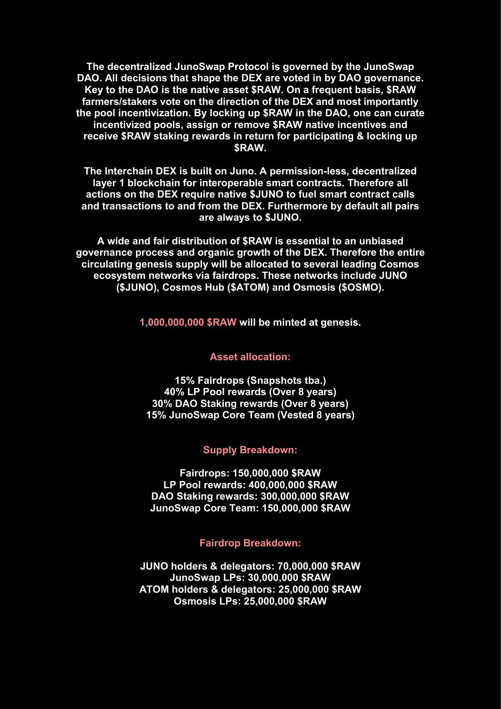**The decentralized JunoSwap Protocol is governed by the JunoSwap DAO. All decisions that shape the DEX are voted in by DAO governance. Key to the DAO is the native asset \$RAW. On a frequent basis, \$RAW farmers/stakers vote on the direction of the DEX and most importantly the pool incentivization. By locking up \$RAW in the DAO, one can curate incentivized pools, assign or remove \$RAW native incentives and receive \$RAW staking rewards in return for participating & locking up \$RAW.**

**The Interchain DEX is built on Juno. A permission-less, decentralized layer 1 blockchain for interoperable smart contracts. Therefore all actions on the DEX require native \$JUNO to fuel smart contract calls and transactions to and from the DEX. Furthermore by default all pairs are always to \$JUNO.**

**A wide and fair distribution of \$RAW is essential to an unbiased governance process and organic growth of the DEX. Therefore the entire circulating genesis supply will be allocated to several leading Cosmos ecosystem networks viafairdrops. These networks include JUNO (\$JUNO), Cosmos Hub (\$ATOM) and Osmosis (\$OSMO).**

**1,000,000,000 \$RAW will be minted at genesis.**

#### **Asset allocation:**

**15% Fairdrops (Snapshots tba.) 40% LP Pool rewards (Over 8 years) 30% DAO Staking rewards (Over 8 years) 15% JunoSwapCore Team (Vested 8 years)**

#### **Supply Breakdown:**

**Fairdrops: 150,000,000 \$RAW LP Pool rewards: 400,000,000 \$RAW DAO Staking rewards: 300,000,000 \$RAW JunoSwap Core Team: 150,000,000 \$RAW**

#### **Fairdrop Breakdown:**

**JUNO holders & delegators: 70,000,000 \$RAW JunoSwap LPs: 30,000,000 \$RAW ATOM holders & delegators: 25,000,000 \$RAW Osmosis LPs: 25,000,000 \$RAW**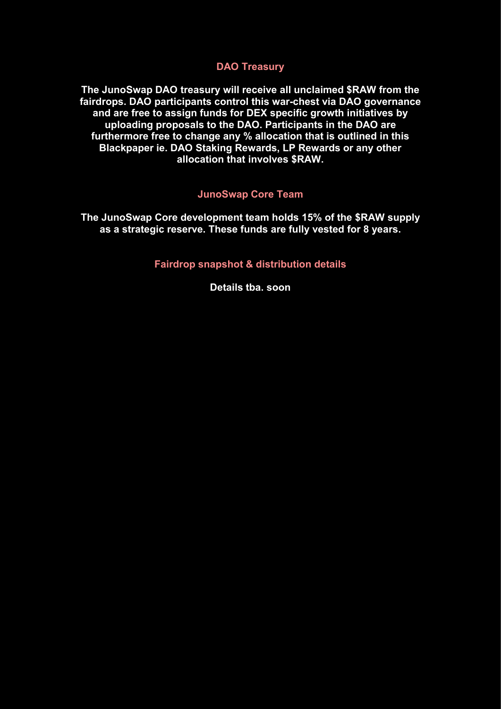### **DAO Treasury**

**The JunoSwap DAO treasury will receive all unclaimed \$RAW from the fairdrops. DAO participants control this war-chest via DAO governance and are free to assign funds for DEX specific growth initiatives by uploading proposals to the DAO. Participants in the DAO are furthermore free to change any % allocation that is outlined in this Blackpaper ie. DAO Staking Rewards, LP Rewards or any other allocation that involves \$RAW.**

### **JunoSwap Core Team**

**The JunoSwap Core development team holds 15% of the \$RAW supply as a strategic reserve. These funds are fully vested for 8 years.**

**Fairdrop snapshot & distribution details**

**Details tba. soon**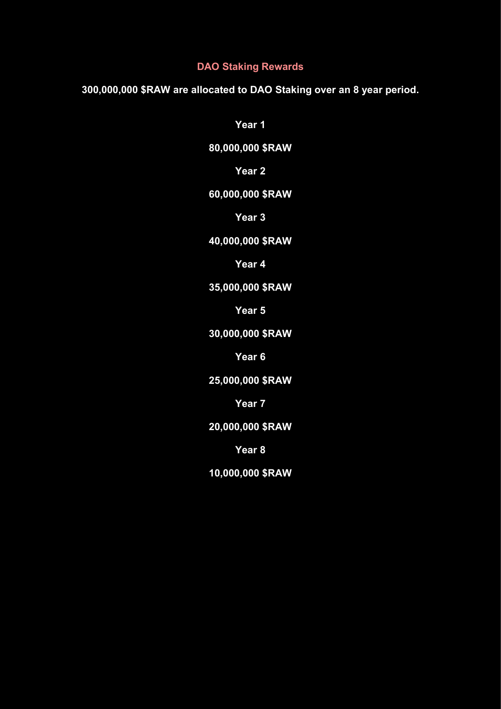### **DAO Staking Rewards**

**300,000,000 \$RAW are allocated to DAO Staking over an 8 year period.**

**Year 1**

**80,000,000 \$RAW**

**Year 2**

# **60,000,000 \$RAW**

**Year 3**

# **40,000,000 \$RAW**

**Year 4**

# **35,000,000 \$RAW**

**Year 5**

# **30,000,000 \$RAW**

**Year 6**

**25,000,000 \$RAW**

**Year 7**

**20,000,000 \$RAW**

**Year 8**

**10,000,000 \$RAW**